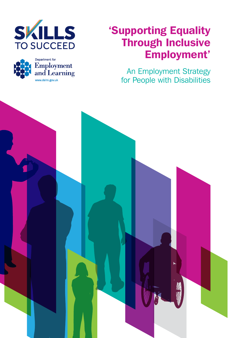



# 'Supporting Equality Through Inclusive Employment'

An Employment Strategy for People with Disabilities

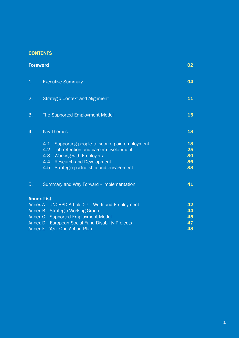# **CONTENTS**

| <b>Foreword</b>                                    |                                                   | 02 |  |
|----------------------------------------------------|---------------------------------------------------|----|--|
| $\overline{1}$ .                                   | <b>Executive Summary</b>                          | 04 |  |
| 2.                                                 | <b>Strategic Context and Alignment</b>            | 11 |  |
| 3.                                                 | The Supported Employment Model                    | 15 |  |
| 4.                                                 | <b>Key Themes</b>                                 | 18 |  |
|                                                    | 4.1 - Supporting people to secure paid employment | 18 |  |
|                                                    | 4.2 - Job retention and career development        | 25 |  |
|                                                    | 4.3 - Working with Employers                      | 30 |  |
|                                                    | 4.4 - Research and Development                    | 36 |  |
|                                                    | 4.5 - Strategic partnership and engagement        | 38 |  |
| 5.                                                 | Summary and Way Forward - Implementation          | 41 |  |
|                                                    | <b>Annex List</b>                                 |    |  |
|                                                    | Annex A - UNCRPD Article 27 - Work and Employment | 42 |  |
| Annex B - Strategic Working Group                  |                                                   | 44 |  |
| Annex C - Supported Employment Model               |                                                   | 45 |  |
| Annex D - European Social Fund Disability Projects | 47                                                |    |  |
| Annex E - Year One Action Plan                     | 48                                                |    |  |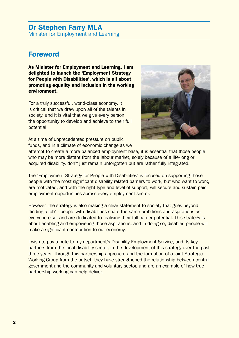# Dr Stephen Farry MLA Minister for Employment and Learning

# Foreword

As Minister for Employment and Learning, I am delighted to launch the 'Employment Strategy for People with Disabilities', which is all about promoting equality and inclusion in the working environment.

For a truly successful, world-class economy, it is critical that we draw upon all of the talents in society, and it is vital that we give every person the opportunity to develop and achieve to their full potential.



At a time of unprecedented pressure on public funds, and in a climate of economic change as we

attempt to create a more balanced employment base, it is essential that those people who may be more distant from the labour market, solely because of a life-long or acquired disability, don't just remain unforgotten but are rather fully integrated.

The 'Employment Strategy for People with Disabilities' is focused on supporting those people with the most significant disability related barriers to work, but who want to work, are motivated, and with the right type and level of support, will secure and sustain paid employment opportunities across every employment sector.

However, the strategy is also making a clear statement to society that goes beyond 'finding a job' - people with disabilities share the same ambitions and aspirations as everyone else, and are dedicated to realising their full career potential. This strategy is about enabling and empowering those aspirations, and in doing so, disabled people will make a significant contribution to our economy.

I wish to pay tribute to my department's Disability Employment Service, and its key partners from the local disability sector, in the development of this strategy over the past three years. Through this partnership approach, and the formation of a joint Strategic Working Group from the outset, they have strengthened the relationship between central government and the community and voluntary sector, and are an example of how true partnership working can help deliver.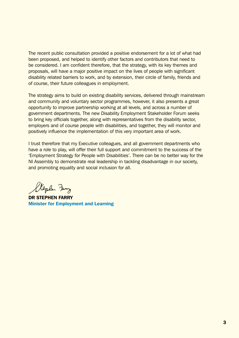The recent public consultation provided a positive endorsement for a lot of what had been proposed, and helped to identify other factors and contributors that need to be considered. I am confident therefore, that the strategy, with its key themes and proposals, will have a major positive impact on the lives of people with significant disability related barriers to work, and by extension, their circle of family, friends and of course, their future colleagues in employment.

The strategy aims to build on existing disability services, delivered through mainstream and community and voluntary sector programmes, however, it also presents a great opportunity to improve partnership working at all levels, and across a number of government departments. The new Disability Employment Stakeholder Forum seeks to bring key officials together, along with representatives from the disability sector, employers and of course people with disabilities, and together, they will monitor and positively influence the implementation of this very important area of work.

I trust therefore that my Executive colleagues, and all government departments who have a role to play, will offer their full support and commitment to the success of the 'Employment Strategy for People with Disabilities'. There can be no better way for the NI Assembly to demonstrate real leadership in tackling disadvantage in our society, and promoting equality and social inclusion for all.

Kleplen Fanny

DR STEPHEN FARRY Minister for Employment and Learning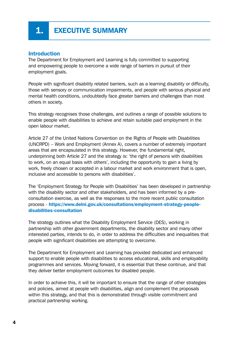### **Introduction**

The Department for Employment and Learning is fully committed to supporting and empowering people to overcome a wide range of barriers in pursuit of their employment goals.

People with significant disability related barriers, such as a learning disability or difficulty, those with sensory or communication impairments, and people with serious physical and mental health conditions, undoubtedly face greater barriers and challenges than most others in society.

This strategy recognises those challenges, and outlines a range of possible solutions to enable people with disabilities to achieve and retain suitable paid employment in the open labour market.

Article 27 of the United Nations Convention on the Rights of People with Disabilities (UNCRPD) – Work and Employment (Annex A), covers a number of extremely important areas that are encapsulated in this strategy. However, the fundamental right, underpinning both Article 27 and the strategy is: 'the right of persons with disabilities to work, on an equal basis with others', including the opportunity to gain a living by work, freely chosen or accepted in a labour market and work environment that is open, inclusive and accessible to persons with disabilities'.

The 'Employment Strategy for People with Disabilities' has been developed in partnership with the disability sector and other stakeholders, and has been informed by a preconsultation exercise, as well as the responses to the more recent public consultation process - https://www.delni.gov.uk/consultations/employment-strategy-peopledisabilities-consultation

The strategy outlines what the Disability Employment Service (DES), working in partnership with other government departments, the disability sector and many other interested parties, intends to do, in order to address the difficulties and inequalities that people with significant disabilities are attempting to overcome.

The Department for Employment and Learning has provided dedicated and enhanced support to enable people with disabilities to access educational, skills and employability programmes and services. Moving forward, it is essential that these continue, and that they deliver better employment outcomes for disabled people.

In order to achieve this, it will be important to ensure that the range of other strategies and policies, aimed at people with disabilities, align and complement the proposals within this strategy, and that this is demonstrated through visible commitment and practical partnership working.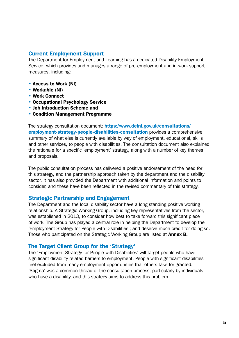# Current Employment Support

The Department for Employment and Learning has a dedicated Disability Employment Service, which provides and manages a range of pre-employment and in-work support measures, including:

- Access to Work (NI)
- Workable (NI)
- Work Connect
- Occupational Psychology Service
- Job Introduction Scheme and
- Condition Management Programme

The strategy consultation document: https://www.delni.gov.uk/consultations/ employment-strategy-people-disabilities-consultation provides a comprehensive summary of what else is currently available by way of employment, educational, skills and other services, to people with disabilities. The consultation document also explained the rationale for a specific 'employment' strategy, along with a number of key themes and proposals.

The public consultation process has delivered a positive endorsement of the need for this strategy, and the partnership approach taken by the department and the disability sector. It has also provided the Department with additional information and points to consider, and these have been reflected in the revised commentary of this strategy.

#### Strategic Partnership and Engagement

The Department and the local disability sector have a long standing positive working relationship. A Strategic Working Group, including key representatives from the sector, was established in 2013, to consider how best to take forward this significant piece of work. The Group has played a central role in helping the Department to develop the 'Employment Strategy for People with Disabilities'; and deserve much credit for doing so. Those who participated on the Strategic Working Group are listed at Annex B.

#### The Target Client Group for the 'Strategy'

The 'Employment Strategy for People with Disabilities' will target people who have significant disability related barriers to employment. People with significant disabilities feel excluded from many employment opportunities that others take for granted. 'Stigma' was a common thread of the consultation process, particularly by individuals who have a disability, and this strategy aims to address this problem.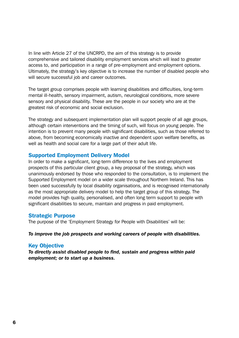In line with Article 27 of the UNCRPD, the aim of this strategy is to provide comprehensive and tailored disability employment services which will lead to greater access to, and participation in a range of pre-employment and employment options. Ultimately, the strategy's key objective is to increase the number of disabled people who will secure successful job and career outcomes.

The target group comprises people with learning disabilities and difficulties, long-term mental ill-health, sensory impairment, autism, neurological conditions, more severe sensory and physical disability. These are the people in our society who are at the greatest risk of economic and social exclusion.

The strategy and subsequent implementation plan will support people of all age groups, although certain interventions and the timing of such, will focus on young people. The intention is to prevent many people with significant disabilities, such as those referred to above, from becoming economically inactive and dependent upon welfare benefits, as well as health and social care for a large part of their adult life.

# Supported Employment Delivery Model

In order to make a significant, long-term difference to the lives and employment prospects of this particular client group, a key proposal of the strategy, which was unanimously endorsed by those who responded to the consultation, is to implement the Supported Employment model on a wider scale throughout Northern Ireland. This has been used successfully by local disability organisations, and is recognised internationally as the most appropriate delivery model to help the target group of this strategy. The model provides high quality, personalised, and often long term support to people with significant disabilities to secure, maintain and progress in paid employment.

# Strategic Purpose

The purpose of the 'Employment Strategy for People with Disabilities' will be:

*To improve the job prospects and working careers of people with disabilities.*

#### Key Objective

*To directly assist disabled people to find, sustain and progress within paid employment; or to start up a business.*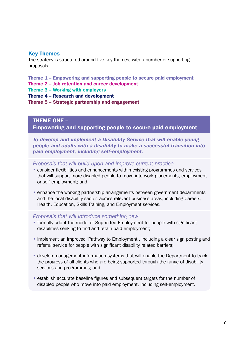### Key Themes

The strategy is structured around five key themes, with a number of supporting proposals.

- Theme 1 Empowering and supporting people to secure paid employment
- Theme 2 Job retention and career development
- Theme 3 Working with employers
- Theme 4 Research and development
- Theme 5 Strategic partnership and engagement

THEME ONE – Empowering and supporting people to secure paid employment

*To develop and implement a Disability Service that will enable young people and adults with a disability to make a successful transition into paid employment, including self-employment.*

*Proposals that will build upon and improve current practice*

- consider flexibilities and enhancements within existing programmes and services that will support more disabled people to move into work placements, employment or self-employment; and
- enhance the working partnership arrangements between government departments and the local disability sector, across relevant business areas, including Careers, Health, Education, Skills Training, and Employment services.

- formally adopt the model of Supported Employment for people with significant disabilities seeking to find and retain paid employment;
- implement an improved 'Pathway to Employment', including a clear sign posting and referral service for people with significant disability related barriers;
- develop management information systems that will enable the Department to track the progress of all clients who are being supported through the range of disability services and programmes; and
- establish accurate baseline figures and subsequent targets for the number of disabled people who move into paid employment, including self-employment.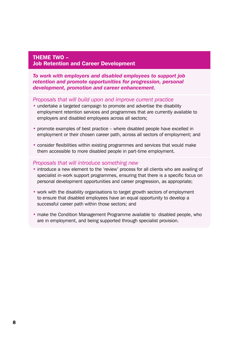# THEME TWO – Job Retention and Career Development

*To work with employers and disabled employees to support job retention and promote opportunities for progression, personal development, promotion and career enhancement.* 

#### *Proposals that will build upon and improve current practice*

- undertake a targeted campaign to promote and advertise the disability employment retention services and programmes that are currently available to employers and disabled employees across all sectors;
- promote examples of best practice where disabled people have excelled in employment or their chosen career path, across all sectors of employment; and
- consider flexibilities within existing programmes and services that would make them accessible to more disabled people in part-time employment.

- introduce a new element to the 'review' process for all clients who are availing of specialist in-work support programmes, ensuring that there is a specific focus on personal development opportunities and career progression, as appropriate;
- work with the disability organisations to target growth sectors of employment to ensure that disabled employees have an equal opportunity to develop a successful career path within those sectors; and
- make the Condition Management Programme available to disabled people, who are in employment, and being supported through specialist provision.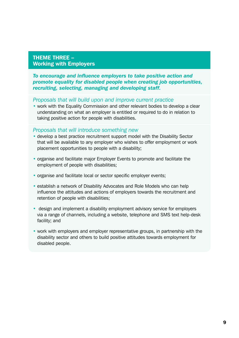# THEME THREE – Working with Employers

*To encourage and influence employers to take positive action and promote equality for disabled people when creating job opportunities, recruiting, selecting, managing and developing staff.* 

#### *Proposals that will build upon and improve current practice*

• work with the Equality Commission and other relevant bodies to develop a clear understanding on what an employer is entitled or required to do in relation to taking positive action for people with disabilities.

- develop a best practice recruitment support model with the Disability Sector that will be available to any employer who wishes to offer employment or work placement opportunities to people with a disability;
- organise and facilitate major Employer Events to promote and facilitate the employment of people with disabilities;
- organise and facilitate local or sector specific employer events;
- establish a network of Disability Advocates and Role Models who can help influence the attitudes and actions of employers towards the recruitment and retention of people with disabilities;
- design and implement a disability employment advisory service for employers via a range of channels, including a website, telephone and SMS text help-desk facility; and
- work with employers and employer representative groups, in partnership with the disability sector and others to build positive attitudes towards employment for disabled people.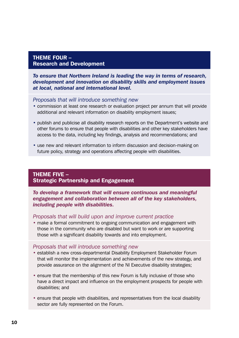# THEME FOUR – Research and Development

*To ensure that Northern Ireland is leading the way in terms of research, development and innovation on disability skills and employment issues at local, national and international level.*

#### *Proposals that will introduce something new*

- commission at least one research or evaluation project per annum that will provide additional and relevant information on disability employment issues;
- publish and publicise all disability research reports on the Department's website and other forums to ensure that people with disabilities and other key stakeholders have access to the data, including key findings, analysis and recommendations; and
- use new and relevant information to inform discussion and decision-making on future policy, strategy and operations affecting people with disabilities.

# THEME FIVE – Strategic Partnership and Engagement

*To develop a framework that will ensure continuous and meaningful engagement and collaboration between all of the key stakeholders, including people with disabilities.* 

#### *Proposals that will build upon and improve current practice*

• make a formal commitment to ongoing communication and engagement with those in the community who are disabled but want to work or are supporting those with a significant disability towards and into employment.

- establish a new cross-departmental Disability Employment Stakeholder Forum that will monitor the implementation and achievements of the new strategy, and provide assurance on the alignment of the NI Executive disability strategies;
- ensure that the membership of this new Forum is fully inclusive of those who have a direct impact and influence on the employment prospects for people with disabilities; and
- ensure that people with disabilities, and representatives from the local disability sector are fully represented on the Forum.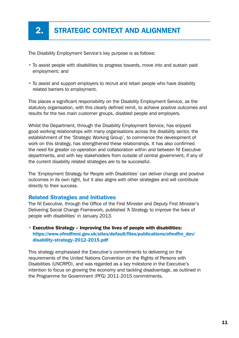# 2. STRATEGIC CONTEXT AND ALIGNMENT

The Disability Employment Service's key purpose is as follows:

- To assist people with disabilities to progress towards, move into and sustain paid employment; and
- To assist and support employers to recruit and retain people who have disability related barriers to employment.

This places a significant responsibility on the Disability Employment Service, as the statutory organisation, with this clearly defined remit, to achieve positive outcomes and results for the two main customer groups, disabled people and employers.

Whilst the Department, through the Disability Employment Service, has enjoyed good working relationships with many organisations across the disability sector, the establishment of the 'Strategic Working Group', to commence the development of work on this strategy, has strengthened these relationships. It has also confirmed the need for greater co-operation and collaboration within and between NI Executive departments, and with key stakeholders from outside of central government, if any of the current disability related strategies are to be successful.

The 'Employment Strategy for People with Disabilities' can deliver change and positive outcomes in its own right, but it also aligns with other strategies and will contribute directly to their success.

#### Related Strategies and Initiatives

The NI Executive, through the Office of the First Minister and Deputy First Minister's Delivering Social Change Framework, published 'A Strategy to improve the lives of people with disabilities' in January 2013.

• Executive Strategy – Improving the lives of people with disabilities: https://www.ofmdfmni.gov.uk/sites/default/files/publications/ofmdfm\_dev/ disability-strategy-2012-2015.pdf

This strategy emphasised the Executive's commitments to delivering on the requirements of the United Nations Convention on the Rights of Persons with Disabilities (UNCRPD), and was regarded as a key milestone in the Executive's intention to focus on growing the economy and tackling disadvantage, as outlined in the Programme for Government (PFG) 2011-2015 commitments.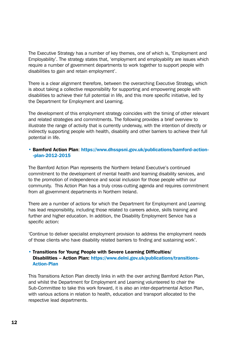The Executive Strategy has a number of key themes, one of which is, 'Employment and Employability'. The strategy states that, 'employment and employability are issues which require a number of government departments to work together to support people with disabilities to gain and retain employment'.

There is a clear alignment therefore, between the overarching Executive Strategy, which is about taking a collective responsibility for supporting and empowering people with disabilities to achieve their full potential in life, and this more specific initiative, led by the Department for Employment and Learning.

The development of this employment strategy coincides with the timing of other relevant and related strategies and commitments. The following provides a brief overview to illustrate the range of activity that is currently underway, with the intention of directly or indirectly supporting people with health, disability and other barriers to achieve their full potential in life.

#### • Bamford Action Plan: https://www.dhsspsni.gov.uk/publications/bamford-action- -plan-2012-2015

The Bamford Action Plan represents the Northern Ireland Executive's continued commitment to the development of mental health and learning disability services, and to the promotion of independence and social inclusion for those people within our community. This Action Plan has a truly cross-cutting agenda and requires commitment from all government departments in Northern Ireland.

There are a number of actions for which the Department for Employment and Learning has lead responsibility, including those related to careers advice, skills training and further and higher education. In addition, the Disability Employment Service has a specific action:

'Continue to deliver specialist employment provision to address the employment needs of those clients who have disability related barriers to finding and sustaining work'.

# • Transitions for Young People with Severe Learning Difficulties/ Disabilities – Action Plan: https://www.delni.gov.uk/publications/transitions-Action-Plan

This Transitions Action Plan directly links in with the over arching Bamford Action Plan, and whilst the Department for Employment and Learning volunteered to chair the Sub-Committee to take this work forward, it is also an inter-departmental Action Plan, with various actions in relation to health, education and transport allocated to the respective lead departments.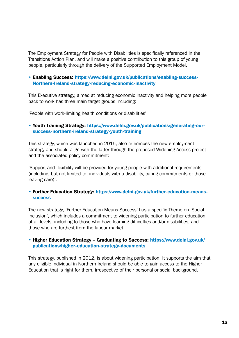The Employment Strategy for People with Disabilities is specifically referenced in the Transitions Action Plan, and will make a positive contribution to this group of young people, particularly through the delivery of the Supported Employment Model.

• Enabling Success: https://www.delni.gov.uk/publications/enabling-success-Northern-Ireland-strategy-reducing-economic-inactivity

This Executive strategy, aimed at reducing economic inactivity and helping more people back to work has three main target groups including:

'People with work-limiting health conditions or disabilities'.

#### • Youth Training Strategy: https://www.delni.gov.uk/publications/generating-oursuccess-northern-ireland-strategy-youth-training

This strategy, which was launched in 2015, also references the new employment strategy and should align with the latter through the proposed Widening Access project and the associated policy commitment:

'Support and flexibility will be provided for young people with additional requirements (including, but not limited to, individuals with a disability, caring commitments or those leaving care)'.

#### • Further Education Strategy: https://www.delni.gov.uk/further-education-means**success**

The new strategy, 'Further Education Means Success' has a specific Theme on 'Social Inclusion', which includes a commitment to widening participation to further education at all levels, including to those who have learning difficulties and/or disabilities, and those who are furthest from the labour market.

#### • Higher Education Strategy - Graduating to Success: https://www.delni.gov.uk/ publications/higher-education-strategy-documents

This strategy, published in 2012, is about widening participation. It supports the aim that any eligible individual in Northern Ireland should be able to gain access to the Higher Education that is right for them, irrespective of their personal or social background.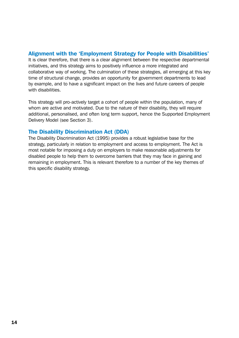# Alignment with the 'Employment Strategy for People with Disabilities'

It is clear therefore, that there is a clear alignment between the respective departmental initiatives, and this strategy aims to positively influence a more integrated and collaborative way of working. The culmination of these strategies, all emerging at this key time of structural change, provides an opportunity for government departments to lead by example, and to have a significant impact on the lives and future careers of people with disabilities.

This strategy will pro-actively target a cohort of people within the population, many of whom are active and motivated. Due to the nature of their disability, they will require additional, personalised, and often long term support, hence the Supported Employment Delivery Model (see Section 3).

# The Disability Discrimination Act (DDA)

The Disability Discrimination Act (1995) provides a robust legislative base for the strategy, particularly in relation to employment and access to employment. The Act is most notable for imposing a duty on employers to make reasonable adjustments for disabled people to help them to overcome barriers that they may face in gaining and remaining in employment. This is relevant therefore to a number of the key themes of this specific disability strategy.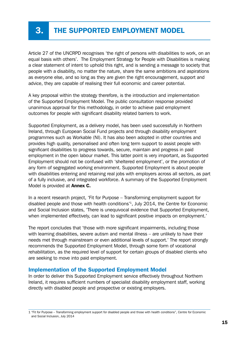# 3. THE SUPPORTED EMPLOYMENT MODEL

Article 27 of the UNCRPD recognises 'the right of persons with disabilities to work, on an equal basis with others'. The Employment Strategy for People with Disabilities is making a clear statement of intent to uphold this right, and is sending a message to society that people with a disability, no matter the nature, share the same ambitions and aspirations as everyone else, and so long as they are given the right encouragement, support and advice, they are capable of realising their full economic and career potential.

A key proposal within the strategy therefore, is the introduction and implementation of the Supported Employment Model. The public consultation response provided unanimous approval for this methodology, in order to achieve paid employment outcomes for people with significant disability related barriers to work.

Supported Employment, as a delivery model, has been used successfully in Northern Ireland, through European Social Fund projects and through disability employment programmes such as Workable (NI). It has also been adopted in other countries and provides high quality, personalised and often long term support to assist people with significant disabilities to progress towards, secure, maintain and progress in paid employment in the open labour market. This latter point is very important, as Supported Employment should not be confused with 'sheltered employment', or the promotion of any form of segregated working environment. Supported Employment is about people with disabilities entering and retaining real jobs with employers across all sectors, as part of a fully inclusive, and integrated workforce. A summary of the Supported Employment Model is provided at Annex C.

In a recent research project, 'Fit for Purpose – Transforming employment support for disabled people and those with health conditions'1, July 2014, the Centre for Economic and Social Inclusion states, 'There is unequivocal evidence that Supported Employment, when implemented effectively, can lead to significant positive impacts on employment.'

The report concludes that 'those with more significant impairments, including those with learning disabilities, severe autism and mental illness – are unlikely to have their needs met through mainstream or even additional levels of support.' The report strongly recommends the Supported Employment Model, through some form of vocational rehabilitation, as the required level of support for certain groups of disabled clients who are seeking to move into paid employment.

#### Implementation of the Supported Employment Model

In order to deliver this Supported Employment service effectively throughout Northern Ireland, it requires sufficient numbers of specialist disability employment staff, working directly with disabled people and prospective or existing employers.

<sup>1 &</sup>quot;Fit for Purpose – Transforming employment support for disabled people and those with health conditions", Centre for Economic and Social Inclusion, July 2014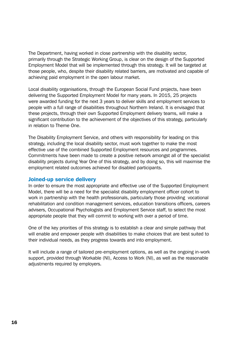The Department, having worked in close partnership with the disability sector, primarily through the Strategic Working Group, is clear on the design of the Supported Employment Model that will be implemented through this strategy. It will be targeted at those people, who, despite their disability related barriers, are motivated and capable of achieving paid employment in the open labour market.

Local disability organisations, through the European Social Fund projects, have been delivering the Supported Employment Model for many years. In 2015, 25 projects were awarded funding for the next 3 years to deliver skills and employment services to people with a full range of disabilities throughout Northern Ireland. It is envisaged that these projects, through their own Supported Employment delivery teams, will make a significant contribution to the achievement of the objectives of this strategy, particularly in relation to Theme One.

The Disability Employment Service, and others with responsibility for leading on this strategy, including the local disability sector, must work together to make the most effective use of the combined Supported Employment resources and programmes. Commitments have been made to create a positive network amongst all of the specialist disability projects during Year One of this strategy, and by doing so, this will maximise the employment related outcomes achieved for disabled participants.

# Joined-up service delivery

In order to ensure the most appropriate and effective use of the Supported Employment Model, there will be a need for the specialist disability employment officer cohort to work in partnership with the health professionals, particularly those providing vocational rehabilitation and condition management services, education transitions officers, careers advisers, Occupational Psychologists and Employment Service staff, to select the most appropriate people that they will commit to working with over a period of time.

One of the key priorities of this strategy is to establish a clear and simple pathway that will enable and empower people with disabilities to make choices that are best suited to their individual needs, as they progress towards and into employment.

It will include a range of tailored pre-employment options, as well as the ongoing in-work support, provided through Workable (NI), Access to Work (NI), as well as the reasonable adjustments required by employers.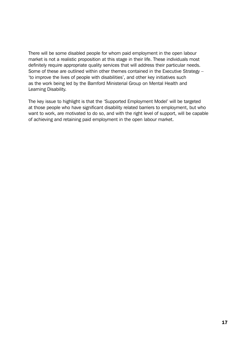There will be some disabled people for whom paid employment in the open labour market is not a realistic proposition at this stage in their life. These individuals most definitely require appropriate quality services that will address their particular needs. Some of these are outlined within other themes contained in the Executive Strategy – 'to improve the lives of people with disabilities', and other key initiatives such as the work being led by the Bamford Ministerial Group on Mental Health and Learning Disability.

The key issue to highlight is that the 'Supported Employment Model' will be targeted at those people who have significant disability related barriers to employment, but who want to work, are motivated to do so, and with the right level of support, will be capable of achieving and retaining paid employment in the open labour market.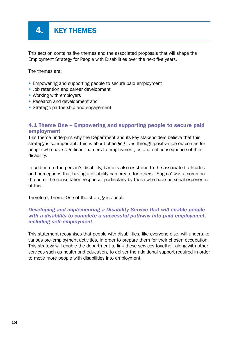

This section contains five themes and the associated proposals that will shape the Employment Strategy for People with Disabilities over the next five years.

The themes are:

- Empowering and supporting people to secure paid employment
- Job retention and career development
- Working with employers
- Research and development and
- Strategic partnership and engagement

### 4.1 Theme One – Empowering and supporting people to secure paid employment

This theme underpins why the Department and its key stakeholders believe that this strategy is so important. This is about changing lives through positive job outcomes for people who have significant barriers to employment, as a direct consequence of their disability.

In addition to the person's disability, barriers also exist due to the associated attitudes and perceptions that having a disability can create for others. 'Stigma' was a common thread of the consultation response, particularly by those who have personal experience of this.

Therefore, Theme One of the strategy is about:

### *Developing and implementing a Disability Service that will enable people with a disability to complete a successful pathway into paid employment, including self-employment.*

This statement recognises that people with disabilities, like everyone else, will undertake various pre-employment activities, in order to prepare them for their chosen occupation. This strategy will enable the department to link these services together, along with other services such as health and education, to deliver the additional support required in order to move more people with disabilities into employment.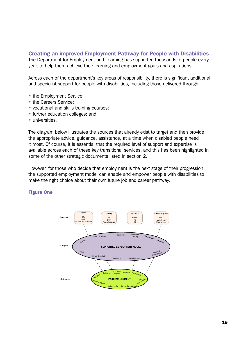# Creating an improved Employment Pathway for People with Disabilities

The Department for Employment and Learning has supported thousands of people every year, to help them achieve their learning and employment goals and aspirations.

Across each of the department's key areas of responsibility, there is significant additional and specialist support for people with disabilities, including those delivered through:

- the Employment Service:
- the Careers Service:
- vocational and skills training courses;
- further education colleges: and
- universities.

The diagram below illustrates the sources that already exist to target and then provide the appropriate advice, guidance, assistance, at a time when disabled people need it most. Of course, it is essential that the required level of support and expertise is available across each of these key transitional services, and this has been highlighted in some of the other strategic documents listed in section 2.

However, for those who decide that employment is the next stage of their progression, the supported employment model can enable and empower people with disabilities to make the right choice about their own future job and career pathway.

#### Figure One

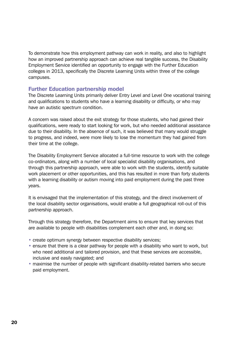To demonstrate how this employment pathway can work in reality, and also to highlight how an improved partnership approach can achieve real tangible success, the Disability Employment Service identified an opportunity to engage with the Further Education colleges in 2013, specifically the Discrete Learning Units within three of the college campuses.

# Further Education partnership model

The Discrete Learning Units primarily deliver Entry Level and Level One vocational training and qualifications to students who have a learning disability or difficulty, or who may have an autistic spectrum condition.

A concern was raised about the exit strategy for those students, who had gained their qualifications, were ready to start looking for work, but who needed additional assistance due to their disability. In the absence of such, it was believed that many would struggle to progress, and indeed, were more likely to lose the momentum they had gained from their time at the college.

The Disability Employment Service allocated a full-time resource to work with the college co-ordinators, along with a number of local specialist disability organisations, and through this partnership approach, were able to work with the students, identify suitable work placement or other opportunities, and this has resulted in more than forty students with a learning disability or autism moving into paid employment during the past three years.

It is envisaged that the implementation of this strategy, and the direct involvement of the local disability sector organisations, would enable a full geographical roll-out of this partnership approach.

Through this strategy therefore, the Department aims to ensure that key services that are available to people with disabilities complement each other and, in doing so:

- create optimum synergy between respective disability services;
- ensure that there is a clear pathway for people with a disability who want to work, but who need additional and tailored provision, and that these services are accessible, inclusive and easily navigated; and
- maximise the number of people with significant disability-related barriers who secure paid employment.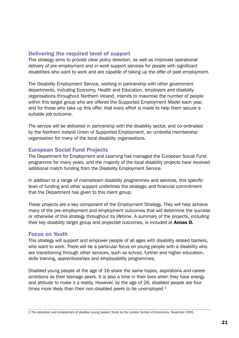# Delivering the required level of support

This strategy aims to provide clear policy direction, as well as improved operational delivery of pre-employment and in-work support services for people with significant disabilities who want to work and are capable of taking up the offer of paid employment.

The Disability Employment Service, working in partnership with other government departments, including Economy, Health and Education, employers and disability organisations throughout Northern Ireland, intends to maximise the number of people within this target group who are offered the Supported Employment Model each year, and for those who take up this offer, that every effort is made to help them secure a suitable job outcome.

The service will be delivered in partnership with the disability sector, and co-ordinated by the Northern Ireland Union of Supported Employment, an umbrella membership organisation for many of the local disability organisations.

# European Social Fund Projects

The Department for Employment and Learning has managed the European Social Fund programme for many years, and the majority of the local disability projects have received additional match funding from the Disability Employment Service.

In addition to a range of mainstream disability programmes and services, this specific level of funding and other support underlines the strategic and financial commitment that the Department has given to this client group.

These projects are a key component of the Employment Strategy. They will help achieve many of the pre-employment and employment outcomes that will determine the success or otherwise of this strategy throughout its lifetime. A summary of the projects, including their key disability target group and projected outcomes, is included at Annex D.

# Focus on Youth

This strategy will support and empower people of all ages with disability related barriers, who want to work. There will be a particular focus on young people with a disability who are transitioning through other services, such as school, further and higher education, skills training, apprenticeships and employability programmes.

Disabled young people at the age of 16 share the same hopes, aspirations and career ambitions as their teenage peers. It is also a time in their lives when they have energy and attitude to make it a reality. However, by the age of 26, disabled people are four times more likely than their non-disabled peers to be unemployed.<sup>2</sup>

<sup>2</sup> The education and employment of disabled young people: Study by the London School of Economics, November 2005.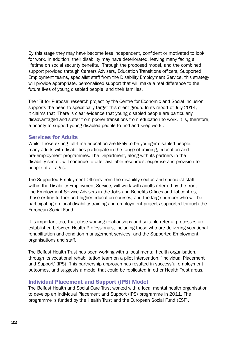By this stage they may have become less independent, confident or motivated to look for work. In addition, their disability may have deteriorated, leaving many facing a lifetime on social security benefits. Through the proposed model, and the combined support provided through Careers Advisers, Education Transitions officers, Supported Employment teams, specialist staff from the Disability Employment Service, this strategy will provide appropriate, personalised support that will make a real difference to the future lives of young disabled people, and their families.

The 'Fit for Purpose' research project by the Centre for Economic and Social Inclusion supports the need to specifically target this client group. In its report of July 2014, it claims that 'There is clear evidence that young disabled people are particularly disadvantaged and suffer from poorer transitions from education to work. It is, therefore, a priority to support young disabled people to find and keep work'.

# Services for Adults

Whilst those exiting full-time education are likely to be younger disabled people, many adults with disabilities participate in the range of training, education and pre-employment programmes. The Department, along with its partners in the disability sector, will continue to offer available resources, expertise and provision to people of all ages.

The Supported Employment Officers from the disability sector, and specialist staff within the Disability Employment Service, will work with adults referred by the frontline Employment Service Advisers in the Jobs and Benefits Offices and Jobcentres, those exiting further and higher education courses, and the large number who will be participating on local disability training and employment projects supported through the European Social Fund.

It is important too, that close working relationships and suitable referral processes are established between Health Professionals, including those who are delivering vocational rehabilitation and condition management services, and the Supported Employment organisations and staff.

The Belfast Health Trust has been working with a local mental health organisation, through its vocational rehabilitation team on a pilot intervention, 'Individual Placement and Support' (IPS). This partnership approach has resulted in successful employment outcomes, and suggests a model that could be replicated in other Health Trust areas.

#### Individual Placement and Support (IPS) Model

The Belfast Health and Social Care Trust worked with a local mental health organisation to develop an Individual Placement and Support (IPS) programme in 2011. The programme is funded by the Health Trust and the European Social Fund (ESF).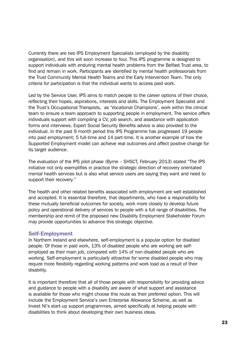Currently there are two IPS Employment Specialists (employed by the disability organisation), and this will soon increase to four. This IPS programme is designed to support individuals with enduring mental health problems from the Belfast Trust area, to find and remain in work. Participants are identified by mental health professionals from the Trust Community Mental Health Teams and the Early Intervention Team. The only criteria for participation is that the individual wants to access paid work.

Led by the Service User, IPS aims to match people to the career options of their choice, reflecting their hopes, aspirations, interests and skills. The Employment Specialist and the Trust's Occupational Therapists, as 'Vocational Champions', work within the clinical team to ensure a team approach to supporting people in employment. The service offers individuals support with compiling a CV, job search, and assistance with application forms and interviews. Expert Social Security Benefits advice is also provided to the individual. In the past 9 month period this IPS Programme has progressed 19 people into paid employment; 5 full-time and 14 part-time. It is another example of how the Supported Employment model can achieve real outcomes and affect positive change for its target audience.

The evaluation of the IPS pilot phase (Byrne – SHSCT, February 2013) stated "The IPS initiative not only exemplifies in practice the strategic direction of recovery orientated mental health services but is also what service users are saying they want and need to support their recovery."

The health and other related benefits associated with employment are well established and accepted. It is essential therefore, that departments, who have a responsibility for these mutually beneficial outcomes for society, work more closely to develop future policy and operational delivery of services to people with a full range of disabilities. The membership and remit of the proposed new Disability Employment Stakeholder Forum may provide opportunities to advance this strategic objective.

#### Self-Employment

In Northern Ireland and elsewhere, self-employment is a popular option for disabled people. Of those in paid work, 13% of disabled people who are working are selfemployed as their main job, compared with 14% of non-disabled people who are working. Self-employment is particularly attractive for some disabled people who may require more flexibility regarding working patterns and work load as a result of their disability.

It is important therefore that all of those people with responsibility for providing advice and guidance to people with a disability are aware of what support and assistance is available for those who might choose this route as their preferred option. This will include the Employment Service's own Enterprise Allowance Scheme, as well as Invest NI's start-up support programmes, aimed specifically at helping people with disabilities to think about developing their own business ideas.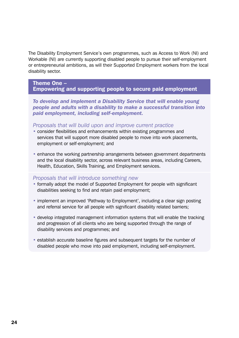The Disability Employment Service's own programmes, such as Access to Work (NI) and Workable (NI) are currently supporting disabled people to pursue their self-employment or entrepreneurial ambitions, as will their Supported Employment workers from the local disability sector.

#### Theme One –

# Empowering and supporting people to secure paid employment

*To develop and implement a Disability Service that will enable young people and adults with a disability to make a successful transition into paid employment, including self-employment.*

#### *Proposals that will build upon and improve current practice*

- consider flexibilities and enhancements within existing programmes and services that will support more disabled people to move into work placements, employment or self-employment; and
- enhance the working partnership arrangements between government departments and the local disability sector, across relevant business areas, including Careers, Health, Education, Skills Training, and Employment services.

- formally adopt the model of Supported Employment for people with significant disabilities seeking to find and retain paid employment;
- implement an improved 'Pathway to Employment', including a clear sign posting and referral service for all people with significant disability related barriers;
- develop integrated management information systems that will enable the tracking and progression of all clients who are being supported through the range of disability services and programmes; and
- establish accurate baseline figures and subsequent targets for the number of disabled people who move into paid employment, including self-employment.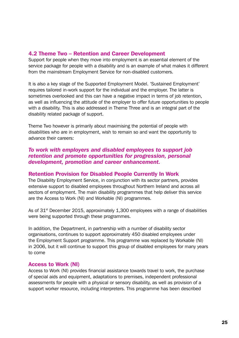# 4.2 Theme Two – Retention and Career Development

Support for people when they move into employment is an essential element of the service package for people with a disability and is an example of what makes it different from the mainstream Employment Service for non-disabled customers.

It is also a key stage of the Supported Employment Model. 'Sustained Employment' requires tailored in-work support for the individual and the employer. The latter is sometimes overlooked and this can have a negative impact in terms of job retention, as well as influencing the attitude of the employer to offer future opportunities to people with a disability. This is also addressed in Theme Three and is an integral part of the disability related package of support.

Theme Two however is primarily about maximising the potential of people with disabilities who are in employment, wish to remain so and want the opportunity to advance their careers:

# *To work with employers and disabled employees to support job retention and promote opportunities for progression, personal development, promotion and career enhancement.*

# Retention Provision for Disabled People Currently In Work

The Disability Employment Service, in conjunction with its sector partners, provides extensive support to disabled employees throughout Northern Ireland and across all sectors of employment. The main disability programmes that help deliver this service are the Access to Work (NI) and Workable (NI) programmes.

As of  $31<sup>st</sup>$  December 2015, approximately 1,300 employees with a range of disabilities were being supported through these programmes.

In addition, the Department, in partnership with a number of disability sector organisations, continues to support approximately 450 disabled employees under the Employment Support programme. This programme was replaced by Workable (NI) in 2006, but it will continue to support this group of disabled employees for many years to come

# Access to Work (NI)

Access to Work (NI) provides financial assistance towards travel to work, the purchase of special aids and equipment, adaptations to premises, independent professional assessments for people with a physical or sensory disability, as well as provision of a support worker resource, including interpreters. This programme has been described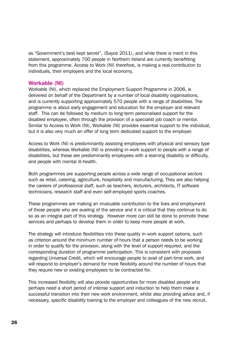as "Government's best kept secret", (Sayce 2011), and while there is merit in this statement, approximately 700 people in Northern Ireland are currently benefitting from this programme. Access to Work (NI) therefore, is making a real contribution to individuals, their employers and the local economy.

# Workable (NI)

Workable (NI), which replaced the Employment Support Programme in 2006, is delivered on behalf of the Department by a number of local disability organisations, and is currently supporting approximately 570 people with a range of disabilities. The programme is about early engagement and education for the employer and relevant staff. This can be followed by medium to long-term personalised support for the disabled employee, often through the provision of a specialist job coach or mentor. Similar to Access to Work (NI), Workable (NI) provides essential support to the individual, but it is also very much an offer of long term dedicated support to the employer.

Access to Work (NI) is predominantly assisting employees with physical and sensory type disabilities, whereas Workable (NI) is providing in-work support to people with a range of disabilities, but these are predominantly employees with a learning disability or difficulty, and people with mental ill-health.

Both programmes are supporting people across a wide range of occupational sectors such as retail, catering, agriculture, hospitality and manufacturing. They are also helping the careers of professional staff, such as teachers, lecturers, architects, IT software technicians, research staff and even self-employed sports coaches.

These programmes are making an invaluable contribution to the lives and employment of those people who are availing of the service and it is critical that they continue to do so as an integral part of this strategy. However more can still be done to promote these services and perhaps to develop them in order to keep more people at work.

The strategy will introduce flexibilities into these quality in-work support options, such as criterion around the minimum number of hours that a person needs to be working in order to qualify for the provision, along with the level of support required, and the corresponding duration of programme participation. This is consistent with proposals regarding Universal Credit, which will encourage people to avail of part-time work, and will respond to employer's demand for more flexibility around the number of hours that they require new or existing employees to be contracted for.

This increased flexibility will also provide opportunities for more disabled people who perhaps need a short period of intense support and induction to help them make a successful transition into their new work environment, whilst also providing advice and, if necessary, specific disability training to the employer and colleagues of the new recruit.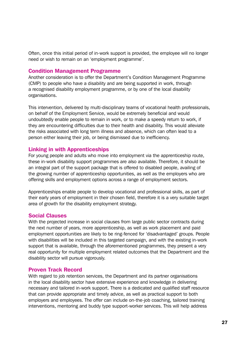Often, once this initial period of in-work support is provided, the employee will no longer need or wish to remain on an 'employment programme'.

#### Condition Management Programme

Another consideration is to offer the Department's Condition Management Programme (CMP) to people who have a disability and are being supported in work, through a recognised disability employment programme, or by one of the local disability organisations.

This intervention, delivered by multi-disciplinary teams of vocational health professionals, on behalf of the Employment Service, would be extremely beneficial and would undoubtedly enable people to remain in work, or to make a speedy return to work, if they are encountering difficulties due to their health and disability. This would alleviate the risks associated with long term illness and absence, which can often lead to a person either leaving their job, or being dismissed due to inefficiency.

# Linking in with Apprenticeships

For young people and adults who move into employment via the apprenticeship route, these in-work disability support programmes are also available. Therefore, it should be an integral part of the support package that is offered to disabled people, availing of the growing number of apprenticeship opportunities, as well as the employers who are offering skills and employment options across a range of employment sectors.

Apprenticeships enable people to develop vocational and professional skills, as part of their early years of employment in their chosen field, therefore it is a very suitable target area of growth for the disability employment strategy.

# Social Clauses

With the projected increase in social clauses from large public sector contracts during the next number of years, more apprenticeship, as well as work placement and paid employment opportunities are likely to be ring-fenced for 'disadvantaged' groups. People with disabilities will be included in this targeted campaign, and with the existing in-work support that is available, through the aforementioned programmes, they present a very real opportunity for multiple employment related outcomes that the Department and the disability sector will pursue vigorously.

#### Proven Track Record

With regard to job retention services, the Department and its partner organisations in the local disability sector have extensive experience and knowledge in delivering necessary and tailored in-work support. There is a dedicated and qualified staff resource that can provide appropriate and timely advice, as well as practical support to both employers and employees. The offer can include on-the-job coaching, tailored training interventions, mentoring and buddy type support-worker services. This will help address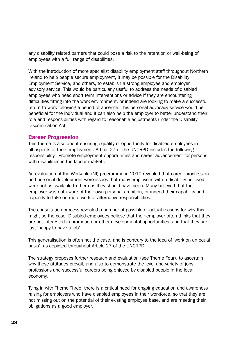any disability related barriers that could pose a risk to the retention or well-being of employees with a full range of disabilities.

With the introduction of more specialist disability employment staff throughout Northern Ireland to help people secure employment, it may be possible for the Disability Employment Service, and others, to establish a strong employee and employer advisory service. This would be particularly useful to address the needs of disabled employees who need short term interventions or advice if they are encountering difficulties fitting into the work environment, or indeed are looking to make a successful return to work following a period of absence. This personal advocacy service would be beneficial for the individual and it can also help the employer to better understand their role and responsibilities with regard to reasonable adjustments under the Disability Discrimination Act.

# Career Progression

This theme is also about ensuring equality of opportunity for disabled employees in all aspects of their employment. Article 27 of the UNCRPD includes the following responsibility, 'Promote employment opportunities and career advancement for persons with disabilities in the labour market'

An evaluation of the Workable (NI) programme in 2010 revealed that career progression and personal development were issues that many employees with a disability believed were not as available to them as they should have been. Many believed that the employer was not aware of their own personal ambition, or indeed their capability and capacity to take on more work or alternative responsibilities.

The consultation process revealed a number of possible or actual reasons for why this might be the case. Disabled employees believe that their employer often thinks that they are not interested in promotion or other developmental opportunities, and that they are just 'happy to have a job'.

This generalisation is often not the case, and is contrary to the idea of 'work on an equal basis', as depicted throughout Article 27 of the UNCRPD.

The strategy proposes further research and evaluation (see Theme Four), to ascertain why these attitudes prevail, and also to demonstrate the level and variety of jobs, professions and successful careers being enjoyed by disabled people in the local economy.

Tying in with Theme Three, there is a critical need for ongoing education and awareness raising for employers who have disabled employees in their workforce, so that they are not missing out on the potential of their existing employee base, and are meeting their obligations as a good employer.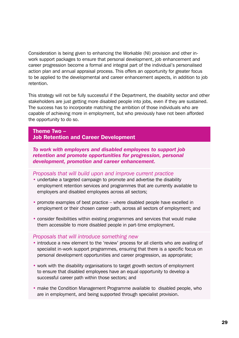Consideration is being given to enhancing the Workable (NI) provision and other inwork support packages to ensure that personal development, job enhancement and career progression become a formal and integral part of the individual's personalised action plan and annual appraisal process. This offers an opportunity for greater focus to be applied to the developmental and career enhancement aspects, in addition to job retention.

This strategy will not be fully successful if the Department, the disability sector and other stakeholders are just getting more disabled people into jobs, even if they are sustained. The success has to incorporate matching the ambition of those individuals who are capable of achieving more in employment, but who previously have not been afforded the opportunity to do so.

### Theme Two – Job Retention and Career Development

*To work with employers and disabled employees to support job retention and promote opportunities for progression, personal development, promotion and career enhancement.* 

# *Proposals that will build upon and improve current practice*

- undertake a targeted campaign to promote and advertise the disability employment retention services and programmes that are currently available to employers and disabled employees across all sectors;
- promote examples of best practice where disabled people have excelled in employment or their chosen career path, across all sectors of employment; and
- consider flexibilities within existing programmes and services that would make them accessible to more disabled people in part-time employment.

- introduce a new element to the 'review' process for all clients who are availing of specialist in-work support programmes, ensuring that there is a specific focus on personal development opportunities and career progression, as appropriate;
- work with the disability organisations to target growth sectors of employment to ensure that disabled employees have an equal opportunity to develop a successful career path within those sectors; and
- make the Condition Management Programme available to disabled people, who are in employment, and being supported through specialist provision.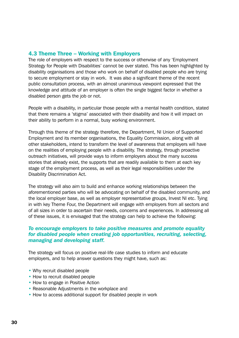# 4.3 Theme Three – Working with Employers

The role of employers with respect to the success or otherwise of any 'Employment Strategy for People with Disabilities' cannot be over stated. This has been highlighted by disability organisations and those who work on behalf of disabled people who are trying to secure employment or stay in work. It was also a significant theme of the recent public consultation process, with an almost unanimous viewpoint expressed that the knowledge and attitude of an employer is often the single biggest factor in whether a disabled person gets the job or not.

People with a disability, in particular those people with a mental health condition, stated that there remains a 'stigma' associated with their disability and how it will impact on their ability to perform in a normal, busy working environment.

Through this theme of the strategy therefore, the Department, NI Union of Supported Employment and its member organisations, the Equality Commission, along with all other stakeholders, intend to transform the level of awareness that employers will have on the realities of employing people with a disability. The strategy, through proactive outreach initiatives, will provide ways to inform employers about the many success stories that already exist, the supports that are readily available to them at each key stage of the employment process, as well as their legal responsibilities under the Disability Discrimination Act.

The strategy will also aim to build and enhance working relationships between the aforementioned parties who will be advocating on behalf of the disabled community, and the local employer base, as well as employer representative groups, Invest NI etc. Tying in with key Theme Four, the Department will engage with employers from all sectors and of all sizes in order to ascertain their needs, concerns and experiences. In addressing all of these issues, it is envisaged that the strategy can help to achieve the following:

# *To encourage employers to take positive measures and promote equality for disabled people when creating job opportunities, recruiting, selecting, managing and developing staff.*

The strategy will focus on positive real-life case studies to inform and educate employers, and to help answer questions they might have, such as:

- Why recruit disabled people
- How to recruit disabled people
- How to engage in Positive Action
- Reasonable Adjustments in the workplace and
- How to access additional support for disabled people in work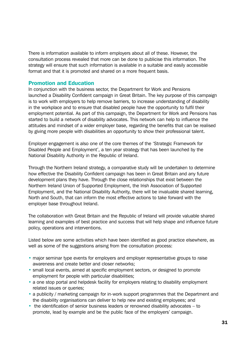There is information available to inform employers about all of these. However, the consultation process revealed that more can be done to publicise this information. The strategy will ensure that such information is available in a suitable and easily accessible format and that it is promoted and shared on a more frequent basis.

### Promotion and Education

In conjunction with the business sector, the Department for Work and Pensions launched a Disability Confident campaign in Great Britain. The key purpose of this campaign is to work with employers to help remove barriers, to increase understanding of disability in the workplace and to ensure that disabled people have the opportunity to fulfil their employment potential. As part of this campaign, the Department for Work and Pensions has started to build a network of disability advocates. This network can help to influence the attitudes and mindset of a wider employer base, regarding the benefits that can be realised by giving more people with disabilities an opportunity to show their professional talent.

Employer engagement is also one of the core themes of the 'Strategic Framework for Disabled People and Employment', a ten year strategy that has been launched by the National Disability Authority in the Republic of Ireland.

Through the Northern Ireland strategy, a comparative study will be undertaken to determine how effective the Disability Confident campaign has been in Great Britain and any future development plans they have. Through the close relationships that exist between the Northern Ireland Union of Supported Employment, the Irish Association of Supported Employment, and the National Disability Authority, there will be invaluable shared learning, North and South, that can inform the most effective actions to take forward with the employer base throughout Ireland.

The collaboration with Great Britain and the Republic of Ireland will provide valuable shared learning and examples of best practice and success that will help shape and influence future policy, operations and interventions.

Listed below are some activities which have been identified as good practice elsewhere, as well as some of the suggestions arising from the consultation process:

- major seminar type events for employers and employer representative groups to raise awareness and create better and closer networks;
- small local events, aimed at specific employment sectors, or designed to promote employment for people with particular disabilities;
- a one stop portal and helpdesk facility for employers relating to disability employment related issues or queries;
- a publicity / marketing campaign for in-work support programmes that the Department and the disability organisations can deliver to help new and existing employees; and
- the identification of senior business leaders or renowned disability advocates to promote, lead by example and be the public face of the employers' campaign.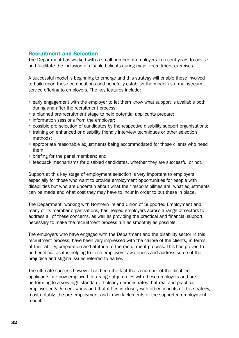# Recruitment and Selection

The Department has worked with a small number of employers in recent years to advise and facilitate the inclusion of disabled clients during major recruitment exercises.

A successful model is beginning to emerge and this strategy will enable those involved to build upon these competitions and hopefully establish the model as a mainstream service offering to employers. The key features include:

- early engagement with the employer to let them know what support is available both during and after the recruitment process;
- a planned pre-recruitment stage to help potential applicants prepare;
- information sessions from the employer:
- possible pre-selection of candidates by the respective disability support organisations;
- training on enhanced or disability friendly interview techniques or other selection methods;
- appropriate reasonable adjustments being accommodated for those clients who need them;
- briefing for the panel members; and
- feedback mechanisms for disabled candidates, whether they are successful or not.

Support at this key stage of employment selection is very important to employers, especially for those who want to provide employment opportunities for people with disabilities but who are uncertain about what their responsibilities are, what adjustments can be made and what cost they may have to incur in order to put these in place.

The Department, working with Northern Ireland Union of Supported Employment and many of its member organisations, has helped employers across a range of sectors to address all of these concerns, as well as providing the practical and financial support necessary to make the recruitment process run as smoothly as possible.

The employers who have engaged with the Department and the disability sector in this recruitment process, have been very impressed with the calibre of the clients, in terms of their ability, preparation and attitude to the recruitment process. This has proven to be beneficial as it is helping to raise employers' awareness and address some of the prejudice and stigma issues referred to earlier.

The ultimate success however has been the fact that a number of the disabled applicants are now employed in a range of job roles with these employers and are performing to a very high standard. It clearly demonstrates that real and practical employer engagement works and that it ties in closely with other aspects of this strategy, most notably, the pre-employment and in-work elements of the supported employment model.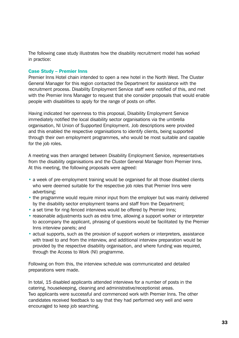The following case study illustrates how the disability recruitment model has worked in practice:

#### Case Study – Premier Inns

Premier Inns Hotel chain intended to open a new hotel in the North West. The Cluster General Manager for this region contacted the Department for assistance with the recruitment process. Disability Employment Service staff were notified of this, and met with the Premier Inns Manager to request that she consider proposals that would enable people with disabilities to apply for the range of posts on offer.

Having indicated her openness to this proposal, Disability Employment Service immediately notified the local disability sector organisations via the umbrella organisation, NI Union of Supported Employment. Job descriptions were provided and this enabled the respective organisations to identify clients, being supported through their own employment programmes, who would be most suitable and capable for the job roles.

A meeting was then arranged between Disability Employment Service, representatives from the disability organisations and the Cluster General Manager from Premier Inns. At this meeting, the following proposals were agreed:

- a week of pre-employment training would be organised for all those disabled clients who were deemed suitable for the respective job roles that Premier Inns were advertising;
- the programme would require minor input from the employer but was mainly delivered by the disability sector employment teams and staff from the Department;
- a set time for ring-fenced interviews would be offered by Premier Inns;
- reasonable adjustments such as extra time, allowing a support worker or interpreter to accompany the applicant, phrasing of questions would be facilitated by the Premier Inns interview panels; and
- actual supports, such as the provision of support workers or interpreters, assistance with travel to and from the interview, and additional interview preparation would be provided by the respective disability organisation, and where funding was required, through the Access to Work (NI) programme.

Following on from this, the interview schedule was communicated and detailed preparations were made.

In total, 15 disabled applicants attended interviews for a number of posts in the catering, housekeeping, cleaning and administrative/receptionist areas. Two applicants were successful and commenced work with Premier Inns. The other candidates received feedback to say that they had performed very well and were encouraged to keep job searching.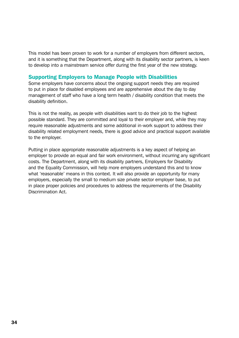This model has been proven to work for a number of employers from different sectors, and it is something that the Department, along with its disability sector partners, is keen to develop into a mainstream service offer during the first year of the new strategy.

# Supporting Employers to Manage People with Disabilities

Some employers have concerns about the ongoing support needs they are required to put in place for disabled employees and are apprehensive about the day to day management of staff who have a long term health / disability condition that meets the disability definition.

This is not the reality, as people with disabilities want to do their job to the highest possible standard. They are committed and loyal to their employer and, while they may require reasonable adjustments and some additional in-work support to address their disability related employment needs, there is good advice and practical support available to the employer.

Putting in place appropriate reasonable adjustments is a key aspect of helping an employer to provide an equal and fair work environment, without incurring any significant costs. The Department, along with its disability partners, Employers for Disability and the Equality Commission, will help more employers understand this and to know what 'reasonable' means in this context. It will also provide an opportunity for many employers, especially the small to medium size private sector employer base, to put in place proper policies and procedures to address the requirements of the Disability Discrimination Act.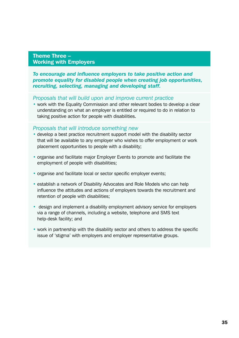# Theme Three – Working with Employers

*To encourage and influence employers to take positive action and promote equality for disabled people when creating job opportunities, recruiting, selecting, managing and developing staff.* 

#### *Proposals that will build upon and improve current practice*

• work with the Equality Commission and other relevant bodies to develop a clear understanding on what an employer is entitled or required to do in relation to taking positive action for people with disabilities.

- develop a best practice recruitment support model with the disability sector that will be available to any employer who wishes to offer employment or work placement opportunities to people with a disability;
- organise and facilitate major Employer Events to promote and facilitate the employment of people with disabilities;
- organise and facilitate local or sector specific employer events:
- establish a network of Disability Advocates and Role Models who can help influence the attitudes and actions of employers towards the recruitment and retention of people with disabilities;
- design and implement a disability employment advisory service for employers via a range of channels, including a website, telephone and SMS text help-desk facility; and
- work in partnership with the disability sector and others to address the specific issue of 'stigma' with employers and employer representative groups.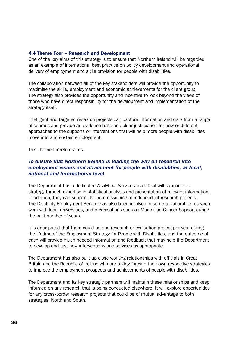#### 4.4 Theme Four – Research and Development

One of the key aims of this strategy is to ensure that Northern Ireland will be regarded as an example of international best practice on policy development and operational delivery of employment and skills provision for people with disabilities.

The collaboration between all of the key stakeholders will provide the opportunity to maximise the skills, employment and economic achievements for the client group. The strategy also provides the opportunity and incentive to look beyond the views of those who have direct responsibility for the development and implementation of the strategy itself.

Intelligent and targeted research projects can capture information and data from a range of sources and provide an evidence base and clear justification for new or different approaches to the supports or interventions that will help more people with disabilities move into and sustain employment.

This Theme therefore aims:

# *To ensure that Northern Ireland is leading the way on research into employment issues and attainment for people with disabilities, at local, national and International level.*

The Department has a dedicated Analytical Services team that will support this strategy through expertise in statistical analysis and presentation of relevant information. In addition, they can support the commissioning of independent research projects. The Disability Employment Service has also been involved in some collaborative research work with local universities, and organisations such as Macmillan Cancer Support during the past number of years.

It is anticipated that there could be one research or evaluation project per year during the lifetime of the Employment Strategy for People with Disabilities, and the outcome of each will provide much needed information and feedback that may help the Department to develop and test new interventions and services as appropriate.

The Department has also built up close working relationships with officials in Great Britain and the Republic of Ireland who are taking forward their own respective strategies to improve the employment prospects and achievements of people with disabilities.

The Department and its key strategic partners will maintain these relationships and keep informed on any research that is being conducted elsewhere. It will explore opportunities for any cross-border research projects that could be of mutual advantage to both strategies, North and South.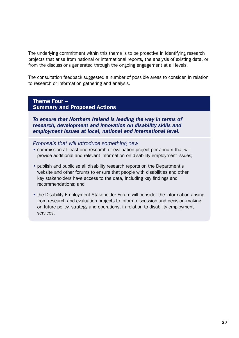The underlying commitment within this theme is to be proactive in identifying research projects that arise from national or international reports, the analysis of existing data, or from the discussions generated through the ongoing engagement at all levels.

The consultation feedback suggested a number of possible areas to consider, in relation to research or information gathering and analysis.

Theme Four – Summary and Proposed Actions

*To ensure that Northern Ireland is leading the way in terms of research, development and innovation on disability skills and employment issues at local, national and international level.*

- commission at least one research or evaluation project per annum that will provide additional and relevant information on disability employment issues;
- publish and publicise all disability research reports on the Department's website and other forums to ensure that people with disabilities and other key stakeholders have access to the data, including key findings and recommendations; and
- the Disability Employment Stakeholder Forum will consider the information arising from research and evaluation projects to inform discussion and decision-making on future policy, strategy and operations, in relation to disability employment services.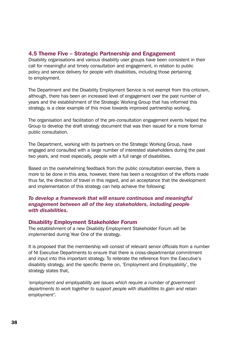# 4.5 Theme Five – Strategic Partnership and Engagement

Disability organisations and various disability user groups have been consistent in their call for meaningful and timely consultation and engagement, in relation to public policy and service delivery for people with disabilities, including those pertaining to employment.

The Department and the Disability Employment Service is not exempt from this criticism, although, there has been an increased level of engagement over the past number of years and the establishment of the Strategic Working Group that has informed this strategy, is a clear example of this move towards improved partnership working.

The organisation and facilitation of the pre-consultation engagement events helped the Group to develop the draft strategy document that was then issued for a more formal public consultation.

The Department, working with its partners on the Strategic Working Group, have engaged and consulted with a large number of interested stakeholders during the past two years, and most especially, people with a full range of disabilities.

Based on the overwhelming feedback from the public consultation exercise, there is more to be done in this area, however, there has been a recognition of the efforts made thus far, the direction of travel in this regard, and an acceptance that the development and implementation of this strategy can help achieve the following:

# *To develop a framework that will ensure continuous and meaningful engagement between all of the key stakeholders, including people with disabilities.*

# Disability Employment Stakeholder Forum

The establishment of a new Disability Employment Stakeholder Forum will be implemented during Year One of the strategy.

It is proposed that the membership will consist of relevant senior officials from a number of NI Executive Departments to ensure that there is cross-departmental commitment and input into this important strategy. To reiterate the reference from the Executive's disability strategy, and the specific theme on, 'Employment and Employability', the strategy states that,

'*employment and employability are issues which require a number of government departments to work together to support people with disabilities to gain and retain employment'.*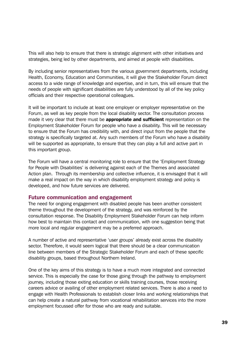This will also help to ensure that there is strategic alignment with other initiatives and strategies, being led by other departments, and aimed at people with disabilities.

By including senior representatives from the various government departments, including Health, Economy, Education and Communities, it will give the Stakeholder Forum direct access to a wide range of knowledge and expertise, and in turn, this will ensure that the needs of people with significant disabilities are fully understood by all of the key policy officials and their respective operational colleagues.

It will be important to include at least one employer or employer representative on the Forum, as well as key people from the local disability sector. The consultation process made it very clear that there must be **appropriate and sufficient** representation on the Employment Stakeholder Forum for people who have a disability. This will be necessary to ensure that the Forum has credibility with, and direct input from the people that the strategy is specifically targeted at. Any such members of the Forum who have a disability will be supported as appropriate, to ensure that they can play a full and active part in this important group.

The Forum will have a central monitoring role to ensure that the 'Employment Strategy for People with Disabilities' is delivering against each of the Themes and associated Action plan. Through its membership and collective influence, it is envisaged that it will make a real impact on the way in which disability employment strategy and policy is developed, and how future services are delivered.

#### Future communication and engagement

The need for ongoing engagement with disabled people has been another consistent theme throughout the development of the strategy, and was reinforced by the consultation response. The Disability Employment Stakeholder Forum can help inform how best to maintain this contact and communication, with one suggestion being that more local and regular engagement may be a preferred approach.

A number of active and representative 'user groups' already exist across the disability sector. Therefore, it would seem logical that there should be a clear communication line between members of the Strategic Stakeholder Forum and each of these specific disability groups, based throughout Northern Ireland.

One of the key aims of this strategy is to have a much more integrated and connected service. This is especially the case for those going through the pathway to employment journey, including those exiting education or skills training courses, those receiving careers advice or availing of other employment related services. There is also a need to engage with Health Professionals to establish closer links and working relationships that can help create a natural pathway from vocational rehabilitation services into the more employment focussed offer for those who are ready and suitable.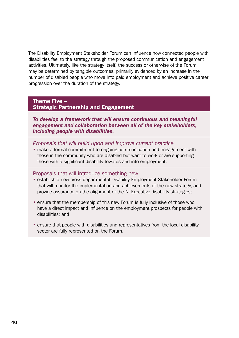The Disability Employment Stakeholder Forum can influence how connected people with disabilities feel to the strategy through the proposed communication and engagement activities. Ultimately, like the strategy itself, the success or otherwise of the Forum may be determined by tangible outcomes, primarily evidenced by an increase in the number of disabled people who move into paid employment and achieve positive career progression over the duration of the strategy.

#### Theme Five – Strategic Partnership and Engagement

*To develop a framework that will ensure continuous and meaningful engagement and collaboration between all of the key stakeholders, including people with disabilities.* 

#### *Proposals that will build upon and improve current practice*

• make a formal commitment to ongoing communication and engagement with those in the community who are disabled but want to work or are supporting those with a significant disability towards and into employment.

- establish a new cross-departmental Disability Employment Stakeholder Forum that will monitor the implementation and achievements of the new strategy, and provide assurance on the alignment of the NI Executive disability strategies;
- ensure that the membership of this new Forum is fully inclusive of those who have a direct impact and influence on the employment prospects for people with disabilities; and
- ensure that people with disabilities and representatives from the local disability sector are fully represented on the Forum.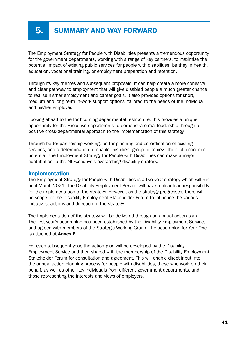5. SUMMARY AND WAY FORWARD

The Employment Strategy for People with Disabilities presents a tremendous opportunity for the government departments, working with a range of key partners, to maximise the potential impact of existing public services for people with disabilities, be they in health, education, vocational training, or employment preparation and retention.

Through its key themes and subsequent proposals, it can help create a more cohesive and clear pathway to employment that will give disabled people a much greater chance to realise his/her employment and career goals. It also provides options for short, medium and long term in-work support options, tailored to the needs of the individual and his/her employer.

Looking ahead to the forthcoming departmental restructure, this provides a unique opportunity for the Executive departments to demonstrate real leadership through a positive cross-departmental approach to the implementation of this strategy.

Through better partnership working, better planning and co-ordination of existing services, and a determination to enable this client group to achieve their full economic potential, the Employment Strategy for People with Disabilities can make a major contribution to the NI Executive's overarching disability strategy.

#### Implementation

The Employment Strategy for People with Disabilities is a five year strategy which will run until March 2021. The Disability Employment Service will have a clear lead responsibility for the implementation of the strategy. However, as the strategy progresses, there will be scope for the Disability Employment Stakeholder Forum to influence the various initiatives, actions and direction of the strategy.

The implementation of the strategy will be delivered through an annual action plan. The first year's action plan has been established by the Disability Employment Service, and agreed with members of the Strategic Working Group. The action plan for Year One is attached at Annex F.

For each subsequent year, the action plan will be developed by the Disability Employment Service and then shared with the membership of the Disability Employment Stakeholder Forum for consultation and agreement. This will enable direct input into the annual action planning process for people with disabilities, those who work on their behalf, as well as other key individuals from different government departments, and those representing the interests and views of employers.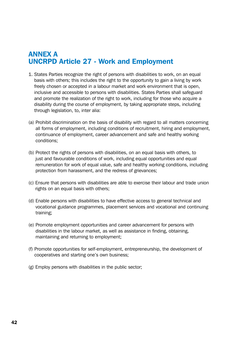# ANNEX A UNCRPD Article 27 - Work and Employment

- 1. States Parties recognize the right of persons with disabilities to work, on an equal basis with others; this includes the right to the opportunity to gain a living by work freely chosen or accepted in a labour market and work environment that is open, inclusive and accessible to persons with disabilities. States Parties shall safeguard and promote the realization of the right to work, including for those who acquire a disability during the course of employment, by taking appropriate steps, including through legislation, to, inter alia:
- (a) Prohibit discrimination on the basis of disability with regard to all matters concerning all forms of employment, including conditions of recruitment, hiring and employment, continuance of employment, career advancement and safe and healthy working conditions;
- (b) Protect the rights of persons with disabilities, on an equal basis with others, to just and favourable conditions of work, including equal opportunities and equal remuneration for work of equal value, safe and healthy working conditions, including protection from harassment, and the redress of grievances;
- (c) Ensure that persons with disabilities are able to exercise their labour and trade union rights on an equal basis with others;
- (d) Enable persons with disabilities to have effective access to general technical and vocational guidance programmes, placement services and vocational and continuing training;
- (e) Promote employment opportunities and career advancement for persons with disabilities in the labour market, as well as assistance in finding, obtaining, maintaining and returning to employment;
- (f) Promote opportunities for self-employment, entrepreneurship, the development of cooperatives and starting one's own business;
- (g) Employ persons with disabilities in the public sector;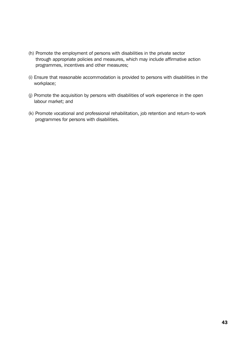- (h) Promote the employment of persons with disabilities in the private sector through appropriate policies and measures, which may include affirmative action programmes, incentives and other measures;
- (i) Ensure that reasonable accommodation is provided to persons with disabilities in the workplace;
- (j) Promote the acquisition by persons with disabilities of work experience in the open labour market; and
- (k) Promote vocational and professional rehabilitation, job retention and return-to-work programmes for persons with disabilities.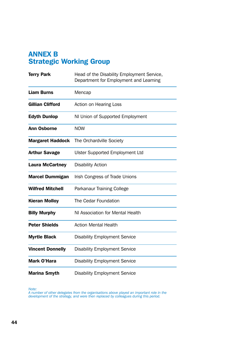# ANNEX B **Strategic Working Group**

| <b>Terry Park</b>       | Head of the Disability Employment Service,<br>Department for Employment and Learning |
|-------------------------|--------------------------------------------------------------------------------------|
| <b>Liam Burns</b>       | Mencap                                                                               |
| <b>Gillian Clifford</b> | Action on Hearing Loss                                                               |
| <b>Edyth Dunlop</b>     | NI Union of Supported Employment                                                     |
| <b>Ann Osborne</b>      | <b>NOW</b>                                                                           |
| <b>Margaret Haddock</b> | The Orchardville Society                                                             |
| <b>Arthur Savage</b>    | <b>Ulster Supported Employment Ltd</b>                                               |
| <b>Laura McCartney</b>  | <b>Disability Action</b>                                                             |
| <b>Marcel Dummigan</b>  | Irish Congress of Trade Unions                                                       |
| <b>Wilfred Mitchell</b> | Parkanaur Training College                                                           |
| <b>Kieran Molloy</b>    | The Cedar Foundation                                                                 |
| <b>Billy Murphy</b>     | NI Association for Mental Health                                                     |
| <b>Peter Shields</b>    | <b>Action Mental Health</b>                                                          |
| <b>Myrtle Black</b>     | <b>Disability Employment Service</b>                                                 |
| <b>Vincent Donnelly</b> | <b>Disability Employment Service</b>                                                 |
| <b>Mark O'Hara</b>      | <b>Disability Employment Service</b>                                                 |
| <b>Marina Smyth</b>     | <b>Disability Employment Service</b>                                                 |

*Note:* 

*A number of other delegates from the organisations above played an important role in the development of the strategy, and were then replaced by colleagues during this period.*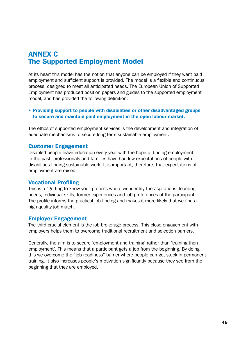# ANNEX C The Supported Employment Model

At its heart this model has the notion that anyone can be employed if they want paid employment and sufficient support is provided. The model is a flexible and continuous process, designed to meet all anticipated needs. The European Union of Supported Employment has produced position papers and guides to the supported employment model, and has provided the following definition:

#### • Providing support to people with disabilities or other disadvantaged groups to secure and maintain paid employment in the open labour market.

The ethos of supported employment services is the development and integration of adequate mechanisms to secure long term sustainable employment.

### Customer Engagement

Disabled people leave education every year with the hope of finding employment. In the past, professionals and families have had low expectations of people with disabilities finding sustainable work. It is important, therefore, that expectations of employment are raised.

# Vocational Profiling

This is a "getting to know you" process where we identify the aspirations, learning needs, individual skills, former experiences and job preferences of the participant. The profile informs the practical job finding and makes it more likely that we find a high quality job match.

#### Employer Engagement

The third crucial element is the job brokerage process. This close engagement with employers helps them to overcome traditional recruitment and selection barriers.

Generally, the aim is to secure 'employment and training' rather than 'training then employment'. This means that a participant gets a job from the beginning. By doing this we overcome the "job readiness" barrier where people can get stuck in permanent training. It also increases people's motivation significantly because they see from the beginning that they are employed.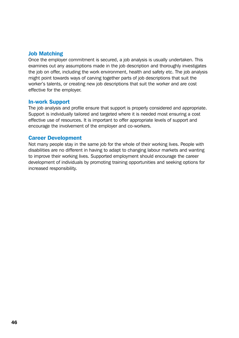# Job Matching

Once the employer commitment is secured, a job analysis is usually undertaken. This examines out any assumptions made in the job description and thoroughly investigates the job on offer, including the work environment, health and safety etc. The job analysis might point towards ways of carving together parts of job descriptions that suit the worker's talents, or creating new job descriptions that suit the worker and are cost effective for the employer.

#### In-work Support

The job analysis and profile ensure that support is properly considered and appropriate. Support is individually tailored and targeted where it is needed most ensuring a cost effective use of resources. It is important to offer appropriate levels of support and encourage the involvement of the employer and co-workers.

### Career Development

Not many people stay in the same job for the whole of their working lives. People with disabilities are no different in having to adapt to changing labour markets and wanting to improve their working lives. Supported employment should encourage the career development of individuals by promoting training opportunities and seeking options for increased responsibility.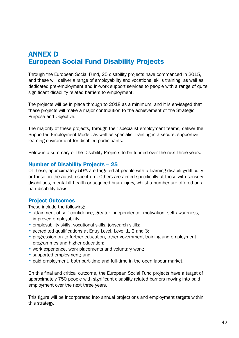# ANNEX D European Social Fund Disability Projects

Through the European Social Fund, 25 disability projects have commenced in 2015, and these will deliver a range of employability and vocational skills training, as well as dedicated pre-employment and in-work support services to people with a range of quite significant disability related barriers to employment.

The projects will be in place through to 2018 as a minimum, and it is envisaged that these projects will make a major contribution to the achievement of the Strategic Purpose and Objective.

The majority of these projects, through their specialist employment teams, deliver the Supported Employment Model, as well as specialist training in a secure, supportive learning environment for disabled participants.

Below is a summary of the Disability Projects to be funded over the next three years:

# Number of Disability Projects – 25

Of these, approximately 50% are targeted at people with a learning disability/difficulty or those on the autistic spectrum. Others are aimed specifically at those with sensory disabilities, mental ill-health or acquired brain injury, whilst a number are offered on a pan-disability basis.

# Project Outcomes

These include the following:

- attainment of self-confidence, greater independence, motivation, self-awareness, improved employability;
- employability skills, vocational skills, jobsearch skills;
- accredited qualifications at Entry Level, Level 1, 2 and 3;
- progression on to further education, other government training and employment programmes and higher education;
- work experience, work placements and voluntary work;
- supported employment; and
- paid employment, both part-time and full-time in the open labour market.

On this final and critical outcome, the European Social Fund projects have a target of approximately 750 people with significant disability related barriers moving into paid employment over the next three years.

This figure will be incorporated into annual projections and employment targets within this strategy.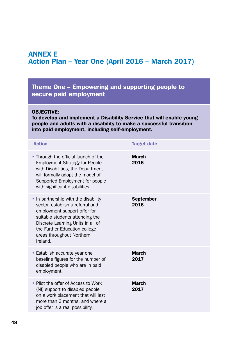# Theme One – Empowering and supporting people to secure paid employment

#### OBJECTIVE:

To develop and implement a Disability Service that will enable young people and adults with a disability to make a successful transition into paid employment, including self-employment.

| <b>Action</b>                                                                                                                                                                                                                                            | <b>Target date</b>       |
|----------------------------------------------------------------------------------------------------------------------------------------------------------------------------------------------------------------------------------------------------------|--------------------------|
| • Through the official launch of the<br><b>Employment Strategy for People</b><br>with Disabilities, the Department<br>will formally adopt the model of<br>Supported Employment for people<br>with significant disabilities.                              | <b>March</b><br>2016     |
| In partnership with the disability<br>sector, establish a referral and<br>employment support offer for<br>suitable students attending the<br>Discrete Learning Units in all of<br>the Further Education college<br>areas throughout Northern<br>Ireland. | <b>September</b><br>2016 |
| • Establish accurate year one<br>baseline figures for the number of<br>disabled people who are in paid<br>employment.                                                                                                                                    | <b>March</b><br>2017     |
| • Pilot the offer of Access to Work<br>(NI) support to disabled people<br>on a work placement that will last<br>more than 3 months, and where a<br>job offer is a real possibility.                                                                      | <b>March</b><br>2017     |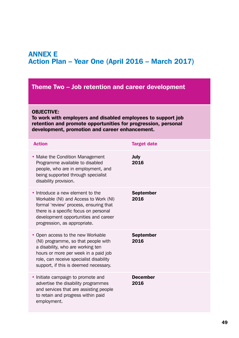# Theme Two – Job retention and career development

#### OBJECTIVE:

To work with employers and disabled employees to support job retention and promote opportunities for progression, personal development, promotion and career enhancement.

| <b>Action</b>                                                                                                                                                                                                                             | <b>Target date</b>       |
|-------------------------------------------------------------------------------------------------------------------------------------------------------------------------------------------------------------------------------------------|--------------------------|
| • Make the Condition Management<br>Programme available to disabled<br>people, who are in employment, and<br>being supported through specialist<br>disability provision.                                                                   | July<br>2016             |
| • Introduce a new element to the<br>Workable (NI) and Access to Work (NI)<br>formal 'review' process, ensuring that<br>there is a specific focus on personal<br>development opportunities and career<br>progression, as appropriate.      | <b>September</b><br>2016 |
| • Open access to the new Workable<br>(NI) programme, so that people with<br>a disability, who are working ten<br>hours or more per week in a paid job<br>role, can receive specialist disability<br>support, if this is deemed necessary. | <b>September</b><br>2016 |
| • Initiate campaign to promote and<br>advertise the disability programmes<br>and services that are assisting people<br>to retain and progress within paid<br>employment.                                                                  | <b>December</b><br>2016  |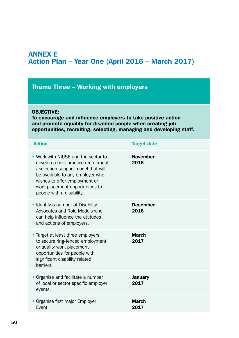# Theme Three – Working with employers

#### OBJECTIVE:

To encourage and influence employers to take positive action and promote equality for disabled people when creating job opportunities, recruiting, selecting, managing and developing staff.

| <b>Action</b>                                                                                                                                                                                                                                          | <b>Target date</b>      |
|--------------------------------------------------------------------------------------------------------------------------------------------------------------------------------------------------------------------------------------------------------|-------------------------|
| • Work with NIUSE and the sector to<br>develop a best practice recruitment<br>/ selection support model that will<br>be available to any employer who<br>wishes to offer employment or<br>work placement opportunities to<br>people with a disability. | <b>November</b><br>2016 |
| • Identify a number of Disability<br>Advocates and Role Models who<br>can help influence the attitudes<br>and actions of employers.                                                                                                                    | <b>December</b><br>2016 |
| • Target at least three employers,<br>to secure ring-fenced employment<br>or quality work placement<br>opportunities for people with<br>significant disability related<br>barriers.                                                                    | <b>March</b><br>2017    |
| • Organise and facilitate a number<br>of local or sector specific employer<br>events.                                                                                                                                                                  | <b>January</b><br>2017  |
| • Organise first major Employer<br>Fvent.                                                                                                                                                                                                              | <b>March</b><br>2017    |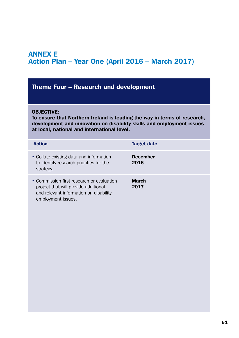# Theme Four – Research and development

#### OBJECTIVE:

To ensure that Northern Ireland is leading the way in terms of research, development and innovation on disability skills and employment issues at local, national and international level.

| <b>Action</b>                                                                                                                                     | <b>Target date</b>      |
|---------------------------------------------------------------------------------------------------------------------------------------------------|-------------------------|
| • Collate existing data and information<br>to identify research priorities for the<br>strategy.                                                   | <b>December</b><br>2016 |
| • Commission first research or evaluation<br>project that will provide additional<br>and relevant information on disability<br>employment issues. | March<br>2017           |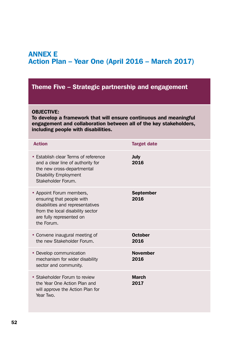# Theme Five – Strategic partnership and engagement

#### OBJECTIVE:

To develop a framework that will ensure continuous and meaningful engagement and collaboration between all of the key stakeholders, including people with disabilities.

| <b>Action</b>                                                                                                                                                           | <b>Target date</b>       |
|-------------------------------------------------------------------------------------------------------------------------------------------------------------------------|--------------------------|
| • Establish clear Terms of reference<br>and a clear line of authority for<br>the new cross-departmental<br><b>Disability Employment</b><br>Stakeholder Forum.           | <b>July</b><br>2016      |
| • Appoint Forum members,<br>ensuring that people with<br>disabilities and representatives<br>from the local disability sector<br>are fully represented on<br>the Forum. | <b>September</b><br>2016 |
| • Convene inaugural meeting of<br>the new Stakeholder Forum.                                                                                                            | <b>October</b><br>2016   |
| • Develop communication<br>mechanism for wider disability<br>sector and community.                                                                                      | <b>November</b><br>2016  |
| • Stakeholder Forum to review<br>the Year One Action Plan and<br>will approve the Action Plan for<br>Year Two.                                                          | <b>March</b><br>2017     |